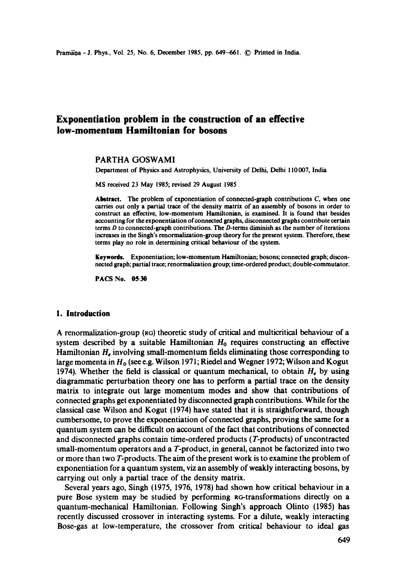# **Exponentiation problem in the construction of an effective low-momentum Hamiitonian for bosons**

#### PARTHA GOSWAMI

Department of Physics and Astrophysics, University of Delhi, Delhi 110 007, India

MS received 23 May 1985; revised 29 August 1985

Abstract. The problem of exponentiation of connected-graph contributions C, when one carries out only a partial trace of the density matrix of an assembly of bosons in order to construct an effective, low-momentum Hamiltonian, is examined. It is found that besides accounting for the exponentiation of connected graphs, disconnected graphs contribute certain terms D to connected-graph contributions. The D-terms diminish as the number of iterations increases in the Singh's renormalization-group theory for the present system. Therefore, these terms play no role in determining critical behaviour of the system.

Keywords. Exponentiation; low-momentum Hamiltonian; bosons; connected graph; disconnected graph; partial trace; renormalization group; time-ordered product; double-commutator.

PACS No. 05-30

#### **1. Introduction**

A renormalization-group (RO) theoretic study of critical and multicriticai behaviour of a system described by a suitable Hamiltonian  $H_0$  requires constructing an effective Hamiltonian  $H_e$  involving small-momentum fields eliminating those corresponding to large momenta in  $H_0$  (see e.g. Wilson 1971; Riedel and Wegner 1972; Wilson and Kogut 1974). Whether the field is classical or quantum mechanical, to obtain  $H_e$  by using diagrammatic perturbation theory one has to perform a partial trace on the density matrix to integrate out large momentum modes and show that contributions of connected graphs get exponentiated by disconnected graph contributions. While for the classical case Wilson and Kogut (1974) have stated that it is straightforward, though cumbersome, to prove the exponentiation of connected graphs, proving the same for a quantum system can be difficult on account of the fact that contributions of connected and disconnected graphs contain time-ordered products (T-products) of uncontracted small-momentum operators and a T-product, in general, cannot be factorized into two or more than two T-products. The aim of the present work is to examine the problem of exponentiation for a quantum system, viz an assembly of weakly interacting bosons, by carrying out only a partial trace of the density matrix.

Several years ago, Singh (1975, 1976, 1978) had shown how critical behaviour in a pure Bose system may be studied by performing RG-transformations directly on a quantum-mechanical Hamiltonian. Following Singh's approach Olinto (1985) has recently discussed crossover in interacting systems. For a dilute, weakly interacting Bose-gas at low-temperature, the crossover from critical behaviour to ideal gas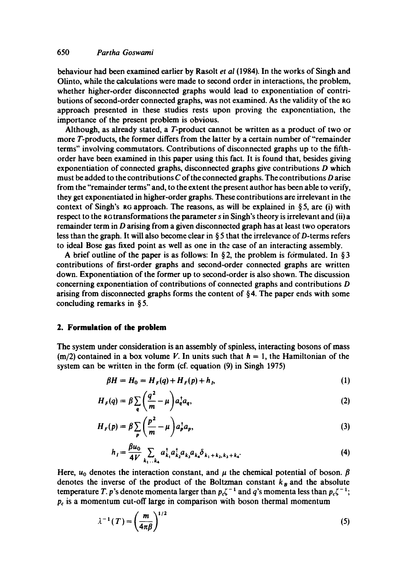## 650 *Partha Goswami*

behaviour had been examined earlier by Rasolt *et al* (1984). In the works of Singh and Olinto, while the calculations were made to second order in interactions, the problem, whether higher-order disconnected graphs would lead to exponentiation of contributions of second-order connected graphs, was not examined. As the validity of the RG approach presented in these studies rests upon proving the exponentiation, the importance of the present problem is obvious.

Although, as already stated, a T-product cannot be written as a product of two or more T-products, the former differs from the latter by a certain number of"remainder terms" involving commutators. Contributions of disconnected graphs up to the fifthorder have been examined in this paper using this fact. It is found that, besides giving exponentiation of connected graphs, disconnected graphs give contributions D which must be added to the contributions  $C$  of the connected graphs. The contributions  $D$  arise from the "remainder terms" and, to the extent the present author has been able to verify, they get exponentiated in higher-order graphs. These contributions are irrelevant in the context of Singh's RG approach. The reasons, as will be explained in §5, are (i) with respect to the aG transformations the parameter s in Singh's theory is irrelevant and (ii)a remainder term in  $D$  arising from a given disconnected graph has at least two operators less than the graph. It will also become clear in § 5 that the irrelevance of D-terms refers to ideal Bose gas fixed point as well as one in the case of an interacting assembly.

A brief outline of the paper is as follows: In §2, the problem is formulated. In §3 contributions of first-order graphs and second-order connected graphs are written down. Exponentiation of the former up to second-order is also shown. The discussion concerning exponentiation of contributions of connected graphs and contributions D arising from disconnected graphs forms the content of  $\S 4$ . The paper ends with some concluding remarks in § 5.

## **2. Formulation of the problem**

The system under consideration is an assembly of spinless, interacting bosons of mass  $(m/2)$  contained in a box volume V. In units such that  $h = 1$ , the Hamiltonian of the system can be written in the form (cf. equation (9) in Singh 1975)

$$
\beta H = H_0 = H_F(q) + H_F(p) + h_p \tag{1}
$$

$$
H_F(q) = \beta \sum_{\mathbf{q}} \left( \frac{q^2}{m} - \mu \right) a_{\mathbf{q}}^\dagger a_{\mathbf{q}},\tag{2}
$$

$$
H_F(p) = \beta \sum_{p} \left(\frac{p^2}{m} - \mu\right) a_p^{\dagger} a_p, \tag{3}
$$

$$
h_{i} = \frac{\beta u_{0}}{4V} \sum_{k_{1}...k_{4}} a_{k_{1}}^{\dagger} a_{k_{2}}^{\dagger} a_{k_{3}} a_{k_{4}} \delta_{k_{1}+k_{2},k_{3}+k_{4}}.
$$
 (4)

Here,  $u_0$  denotes the interaction constant, and  $\mu$  the chemical potential of boson.  $\beta$ denotes the inverse of the product of the Boltzman constant  $k_B$  and the absolute temperature T. p's denote momenta larger than  $p_c\zeta^{-1}$  and q's momenta less than  $p_c\zeta^{-1}$ ;  $p_c$  is a momentum cut-off large in comparison with boson thermal momentum

$$
\lambda^{-1}(T) = \left(\frac{m}{4\pi\beta}\right)^{1/2} \tag{5}
$$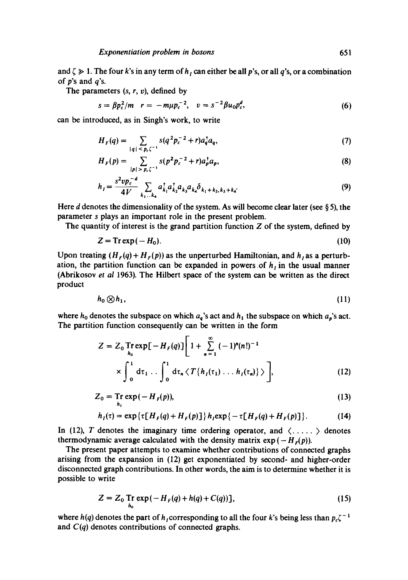and  $\zeta \gg 1$ . The four k's in any term of  $h<sub>I</sub>$  can either be all p's, or all q's, or a combination of  $p$ 's and  $q$ 's.

The parameters  $(s, r, v)$ , defined by

$$
s = \beta p_c^2 / m \quad r = -m\mu p_c^{-2}, \quad v = s^{-2} \beta u_0 p_c^d, \tag{6}
$$

can be introduced, as in Singh's work, to write

$$
H_F(q) = \sum_{|q| \leq p_c \zeta^{-1}} s(q^2 p_c^{-2} + r) a_q^{\dagger} a_q,
$$
 (7)

$$
H_F(p) = \sum_{|p| > p_c \zeta^{-1}} s(p^2 p_c^{-2} + r) a_p^{\dagger} a_p, \tag{8}
$$

$$
h_{I} = \frac{s^{2} v p_{c}^{-d}}{4V} \sum_{k_{1}...k_{4}} a_{k_{1}}^{\dagger} a_{k_{2}}^{\dagger} a_{k_{3}} a_{k_{4}} \delta_{k_{1}+k_{2},k_{3}+k_{4}}.
$$
 (9)

Here d denotes the dimensionality of the system. As will become clear later (see  $\S 5$ ), the parameter s plays an important role in the present problem.

The quantity of interest is the grand partition function  $Z$  of the system, defined by

$$
Z = \text{Tr} \exp(-H_0). \tag{10}
$$

Upon treating  $(H_F(q) + H_F(p))$  as the unperturbed Hamiltonian, and  $h_I$  as a perturbation, the partition function can be expanded in powers of  $h_i$  in the usual manner (Abrikosov *et ai* 1963). The Hilbert space of the system can be written as the direct product

$$
h_0 \otimes h_1, \tag{11}
$$

where  $h_0$  denotes the subspace on which  $a_q$ 's act and  $h_1$  the subspace on which  $a_p$ 's act. The partition function consequently can be written in the form

$$
Z = Z_0 \text{Tr} \exp[-H_F(q)] \left[ 1 + \sum_{n=1}^{\infty} (-1)^n (n!)^{-1} \times \int_0^1 d\tau_1 ... \int_0^1 d\tau_n \langle T\{h_I(\tau_1) ... h_I(\tau_n)\} \rangle \right],
$$
 (12)

$$
Z_0 = \operatorname{Tr}_{h_1} \exp\left(-H_f(p)\right),\tag{13}
$$

$$
h_{I}(\tau) = \exp\{\tau[H_{F}(q) + H_{F}(p)]\} h_{I} \exp\{-\tau[H_{F}(q) + H_{F}(p)]\}.
$$
 (14)

In (12), T denotes the imaginary time ordering operator, and  $\langle \ldots \rangle$  denotes thermodynamic average calculated with the density matrix  $exp(-H<sub>F</sub>(p))$ *.* 

The present paper attempts to examine whether contributions of connected graphs arising from the expansion in (12) get exponentiated by second- and higher-order disconnected graph contributions. In other words, the aim is to determine whether it is possible to write

$$
Z = Z_0 \text{Tr} \exp(-H_F(q) + h(q) + C(q)) \text{]},
$$
 (15)

where  $h(q)$  denotes the part of h<sub>i</sub>corresponding to all the four k's being less than  $p_c\zeta^{-1}$ and *C(q)* denotes contributions of connected graphs.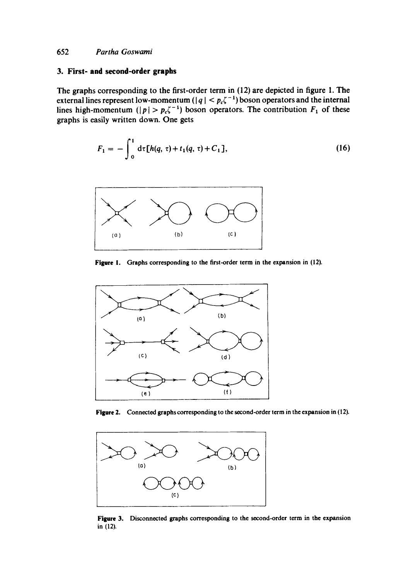## **3. First- and second-order graphs**

The graphs corresponding to the first-order term in (12) are depicted in figure 1. The external lines represent low-momentum ( $|q| < p_c \zeta^{-1}$ ) boson operators and the internal lines high-momentum ( $|p| > p_c \zeta^{-1}$ ) boson operators. The contribution  $F_1$  of these graphs is easily written down. One gets

$$
F_1 = -\int_0^1 d\tau [h(q, \tau) + t_1(q, \tau) + C_1], \qquad (16)
$$



**Figure !. Graphs corresponding to the first-order term in the expansion in (12).** 



Figure 2. Connected graphs corresponding to the second-order term in the expansion in (12).



**Figure** 3. Disconnected graphs corresponding to the second-order term in the expansion in **(12).**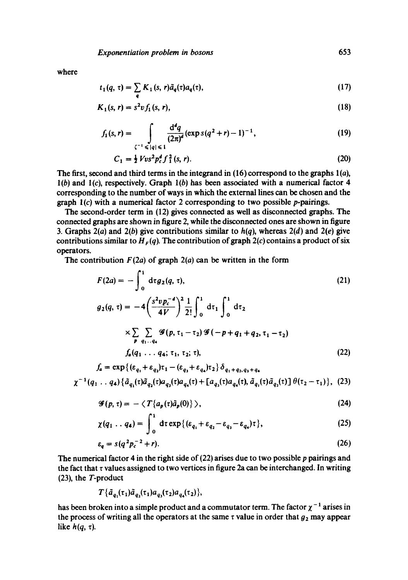where

$$
t_1(q,\,\tau)=\sum_{\mathbf{q}}K_1(s,\,r)\tilde{a}_{\mathbf{q}}(\tau)a_{\mathbf{q}}(\tau),\qquad(17)
$$

$$
K_1(s, r) = s^2 v f_1(s, r), \tag{18}
$$

$$
f_1(s,r) = \int_{\zeta^{-1} \leq |q| \leq 1} \frac{\mathrm{d}^d q}{(2\pi)^d} (\exp s(q^2 + r) - 1)^{-1}, \tag{19}
$$

$$
C_1 = \frac{1}{2} V v s^2 p_c^d f_1^2 (s, r). \tag{20}
$$

The first, second and third terms in the integrand in  $(16)$  correspond to the graphs  $1(a)$ ,  $l(b)$  and  $l(c)$ , respectively. Graph  $l(b)$  has been associated with a numerical factor 4 corresponding to the number of ways in which the external lines can be chosen and the graph l(c) with a numerical factor 2 corresponding to two possible p-pairings.

The second-order term in (12) gives connected as well as disconnected graphs. The connected graphs are shown in figure 2, while the disconnected ones are shown in figure 3. Graphs 2(a) and 2(b) give contributions similar to  $h(q)$ , whereas 2(d) and 2(e) give contributions similar to  $H<sub>F</sub>(q)$ . The contribution of graph 2(c) contains a product of six operators.

The contribution  $F(2a)$  of graph  $2(a)$  can be written in the form

$$
F(2a) = -\int_0^1 d\tau g_2(q, \tau),
$$
\n
$$
g_2(q, \tau) = -4\left(\frac{s^2 v p_c^{-d}}{4V}\right)^2 \frac{1}{2!} \int_0^1 d\tau_1 \int_0^1 d\tau_2
$$
\n
$$
\times \sum_{\substack{p \\ p}} \sum_{q_1 \ldots q_4} \mathcal{G}(p, \tau_1 - \tau_2) \mathcal{G}(-p + q_1 + q_2, \tau_1 - \tau_2)
$$
\n
$$
f_a(q_1 \ldots q_4; \tau_1, \tau_2; \tau),
$$
\n
$$
(22)
$$

$$
J_a = \exp\{(\varepsilon_{q_1} + \varepsilon_{q_2})\tau_1 - (\varepsilon_{q_3} + \varepsilon_{q_4})\tau_2\} \sigma_{q_1 + q_2, q_3 + q_4}
$$
  

$$
\chi^{-1}(q_1 \ldots q_4) \{\tilde{a}_{q_1}(\tau)\tilde{a}_{q_2}(\tau)a_{q_3}(\tau)a_{q_4}(\tau) + [a_{q_3}(\tau)a_{q_4}(\tau), \tilde{a}_{q_1}(\tau)\tilde{a}_{q_2}(\tau)] \theta(\tau_2 - \tau_1)\}, (23)
$$

$$
\mathscr{G}(p,\tau)=-\langle T\{a_p(\tau)\tilde{a}_p(0)\}\rangle,\tag{24}
$$

$$
\chi(q_1 \ldots q_4) = \int_0^1 d\tau \exp\{(\varepsilon_{q_1} + \varepsilon_{q_2} - \varepsilon_{q_3} - \varepsilon_{q_4})\tau\},\tag{25}
$$

$$
\varepsilon_q = s(q^2 p_c^{-2} + r). \tag{26}
$$

The numerical factor 4 in the right side of (22) arises due to two possible p pairings and the fact that  $\tau$  values assigned to two vertices in figure 2a can be interchanged. In writing (23), the T-product

$$
T\{\tilde{a}_{q_1}(\tau_1)\tilde{a}_{q_2}(\tau_1)a_{q_3}(\tau_2)a_{q_4}(\tau_2)\},\
$$

has been broken into a simple product and a commutator term. The factor  $\chi^{-1}$  arises in the process of writing all the operators at the same  $\tau$  value in order that  $g_2$  may appear like  $h(q, \tau)$ .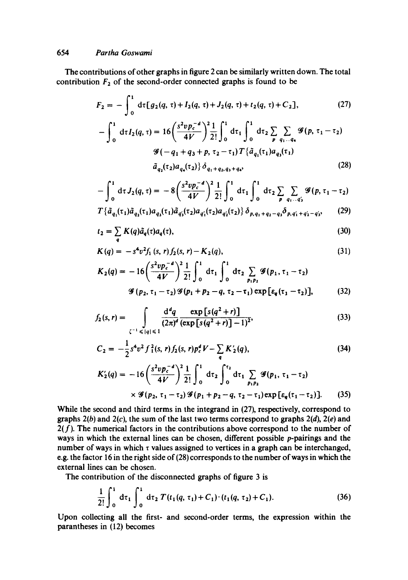The contributions of other graphs in figure 2 can be similarly written down. The total contribution  $F_2$  of the second-order connected graphs is found to be

$$
F_2 = -\int_0^1 d\tau [g_2(q,\tau) + I_2(q,\tau) + J_2(q,\tau) + t_2(q,\tau) + C_2], \qquad (27)
$$

$$
-\int_{0}^{1} d\tau I_{2}(q,\tau) = 16 \left(\frac{s^{2} v p_{c}^{-d}}{4V}\right)^{2} \frac{1}{2!} \int_{0}^{1} d\tau_{1} \int_{0}^{1} d\tau_{2} \sum_{p} \sum_{q_{1}...q_{4}} \mathcal{G}(p,\tau_{1}-\tau_{2})
$$

$$
\mathcal{G}(-q_{1}+q_{3}+p,\tau_{2}-\tau_{1}) T\{\tilde{a}_{q_{1}}(\tau_{1})a_{q_{3}}(\tau_{1})
$$

$$
\tilde{a}_{q_{2}}(\tau_{2})a_{q_{4}}(\tau_{2})\} \delta_{q_{1}+q_{2},q_{3}+q_{4}}, \qquad (28)
$$

$$
-\int_0^1 d\tau J_2(q,\tau) = -8\left(\frac{s^2 v p_c^{-d}}{4V}\right)^2 \frac{1}{2!} \int_0^1 d\tau_1 \int_0^1 d\tau_2 \sum_{p} \sum_{q_1 \ldots q'_3} \mathcal{G}(p,\tau_1 - \tau_2)
$$
  

$$
T^{\frac{5}{2}}(r_1) \tilde{q}_1(r_2) q_2(r_3) q_3(r_4) q_4(r_5) q_5(r_6) q_5(r_7) \delta_5 \delta_6
$$
 (29)

$$
T\{\tilde{a}_{q_1}(\tau_1)\tilde{a}_{q_2}(\tau_1)a_{q_3}(\tau_1)\tilde{a}_{q_3}(\tau_2)a_{q_1}(\tau_2)a_{q_2}(\tau_2)\}\delta_{p,q_1+q_2-q_3}\delta_{p,q_1+q_2-q_3},\qquad(29)
$$

$$
t_2 = \sum_{q} K(q) \tilde{a}_q(\tau) a_q(\tau), \tag{30}
$$

$$
K(q) = -s^4 v^2 f_1 (s, r) f_2 (s, r) - K_2(q), \qquad (31)
$$

$$
K_2(q) = -16\left(\frac{s^2 v p_c^{-d}}{4V}\right)^2 \frac{1}{2!} \int_0^1 d\tau_1 \int_0^1 d\tau_2 \sum_{p_1 p_2} \mathcal{G}(p_1, \tau_1 - \tau_2)
$$
  

$$
\mathcal{G}(p_2, \tau_1 - \tau_2) \mathcal{G}(p_1 + p_2 - q, \tau_2 - \tau_1) \exp[\epsilon_q(\tau_1 - \tau_2)], \qquad (32)
$$

$$
f_2(s,r) = \int\limits_{\zeta^{-1} \leq |q| \leq 1} \frac{d^dq}{(2\pi)^d} \frac{\exp\left[s(q^2+r)\right]}{(\exp\left[s(q^2+r)\right]-1)^2},\tag{33}
$$

$$
C_2 = -\frac{1}{2} s^4 v^2 f_1^2(s, r) f_2(s, r) p_c^d V - \sum_q K_2'(q), \qquad (34)
$$

$$
K'_{2}(q) = -16\left(\frac{s^{2}vp_{c}^{-d}}{4V}\right)^{2}\frac{1}{2!}\int_{0}^{1} d\tau_{2} \int_{0}^{\tau_{2}} d\tau_{1} \sum_{p_{1}p_{2}} \mathcal{G}(p_{1}, \tau_{1}-\tau_{2})
$$
  
 
$$
\times \mathcal{G}(p_{2}, \tau_{1}-\tau_{2}) \mathcal{G}(p_{1}+p_{2}-q, \tau_{2}-\tau_{1}) \exp \left[\varepsilon_{q}(\tau_{1}-\tau_{2})\right]. \tag{35}
$$

While the second and third terms in the integrand in (27), respectively, correspond to graphs  $2(b)$  and  $2(c)$ , the sum of the last two terms correspond to graphs  $2(d)$ ,  $2(e)$  and  $2(f)$ . The numerical factors in the contributions above correspond to the number of ways in which the external lines can be chosen, different possible p-pairings and the number of ways in which  $\tau$  values assigned to vertices in a graph can be interchanged, e.g. the factor 16 in the right side of (28) corresponds to the number of ways in which the external lines can be chosen.

The contribution of the disconnected graphs of figure 3 is

$$
\frac{1}{2!} \int_0^1 d\tau_1 \int_0^1 d\tau_2 T(t_1(q, \tau_1) + C_1) \cdot (t_1(q, \tau_2) + C_1).
$$
 (36)

Upon collecting all the first- and second-order terms, the expression within the parantheses in (12) becomes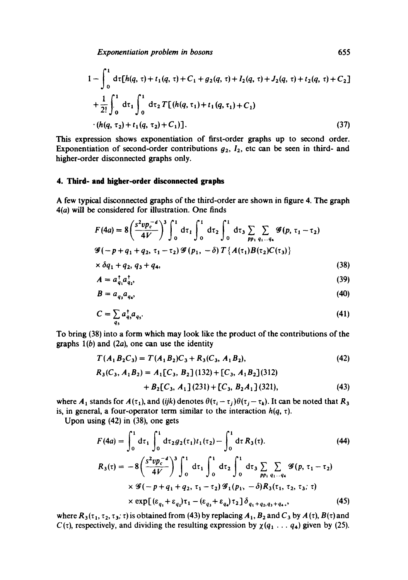*Exponentiation problem in bosons* 655

$$
1 - \int_0^1 d\tau [h(q, \tau) + t_1(q, \tau) + C_1 + g_2(q, \tau) + I_2(q, \tau) + J_2(q, \tau) + t_2(q, \tau) + C_2]
$$
  
+ 
$$
\frac{1}{2!} \int_0^1 d\tau_1 \int_0^1 d\tau_2 T [(h(q, \tau_1) + t_1(q, \tau_1) + C_1)
$$
  
·  $(h(q, \tau_2) + t_1(q, \tau_2) + C_1)].$  (37)

This expression shows exponentiation of first-order graphs up to second order. Exponentiation of second-order contributions  $g_2$ ,  $I_2$ , etc can be seen in third- and higher-order disconnected graphs only.

#### **4. Third- and higher-order disconnected graphs**

A few typical disconnected graphs of the third-order are shown in figure 4. The graph 4(a) will be considered for illustration. One finds

$$
F(4a) = 8\left(\frac{s^2 v p_c^{-d}}{4V}\right)^3 \int_0^1 d\tau_1 \int_0^1 d\tau_2 \int_0^1 d\tau_3 \sum_{pp_1} \sum_{q_1...q_4} \mathcal{G}(p, \tau_1 - \tau_2)
$$
  

$$
\mathcal{G}(-p+q_1+q_2, \tau_1-\tau_2) \mathcal{G}(p_1, -\delta) T\{A(\tau_1)B(\tau_2)C(\tau_3)\}
$$
  

$$
\times \delta q_1 + q_2, q_2 + q_3
$$
 (38)

$$
\times \delta q_1 + q_2, q_3 + q_4,\tag{38}
$$

$$
A = a_{q_1}^\mathsf{T} a_{q_2}^\mathsf{T},\tag{39}
$$

$$
B = a_{q_3} a_{q_4},\tag{40}
$$

$$
C = \sum_{q_5} a_{q_5}^{\dagger} a_{q_5}.
$$
 (41)

To bring (38) into a form which may look like the product of the contributions of the graphs  $1(b)$  and  $(2a)$ , one can use the identity

$$
T(A_1B_2C_3) = T(A_1B_2)C_3 + R_3(C_3, A_1B_2),
$$
\n(42)

$$
R_3(C_3, A_1B_2) = A_1[C_3, B_2](132) + [C_3, A_1B_2](312)
$$
  
+ 
$$
B_2[C_3, A_1](231) + [C_3, B_2A_1](321),
$$
 (43)

where  $A_1$  stands for  $A(\tau_1)$ , and *(ijk)* denotes  $\theta(\tau_i - \tau_j)\theta(\tau_j - \tau_k)$ . It can be noted that  $R_3$ is, in general, a four-operator term similar to the interaction  $h(q, \tau)$ .

Upon using (42) in (38), one gets

$$
F(4a) = \int_0^1 d\tau_1 \int_0^1 d\tau_2 g_2(\tau_1) t_1(\tau_2) - \int_0^1 d\tau R_3(\tau). \tag{44}
$$
  
\n
$$
R_3(\tau) = -8 \left( \frac{s^2 v p_c^{-d}}{4V} \right)^3 \int_0^1 d\tau_1 \int_0^1 d\tau_2 \int_0^1 d\tau_3 \sum_{pp_1} \sum_{q_1 \ldots q_4} \mathcal{G}(p, \tau_1 - \tau_2) \times \mathcal{G}(-p + q_1 + q_2, \tau_1 - \tau_2) \mathcal{G}_1(p_1, -\delta) R_3(\tau_1, \tau_2, \tau_3; \tau) \times \exp[(\varepsilon_{q_1} + \varepsilon_{q_2}) \tau_1 - (\varepsilon_{q_3} + \varepsilon_{q_4}) \tau_2] \delta_{q_1 + q_2, q_3 + q_4, \tau} \tag{45}
$$

where  $R_3(\tau_1, \tau_2, \tau_3; \tau)$  is obtained from (43) by replacing  $A_1$ ,  $B_2$  and  $C_3$  by  $A(\tau)$ ,  $B(\tau)$  and  $C(\tau)$ , respectively, and dividing the resulting expression by  $\chi(q_1 \ldots q_4)$  given by (25).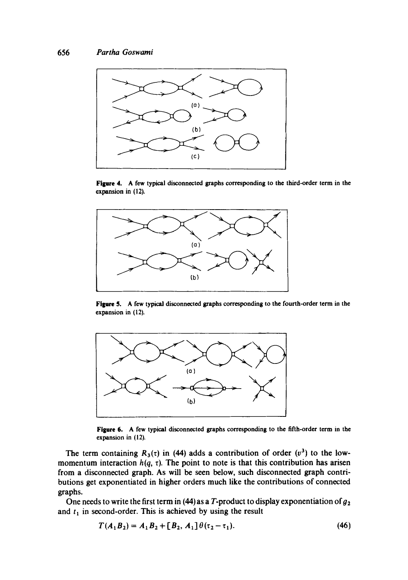

Figure 4. A few typical disconnected graphs corresponding to the third-order term in the expansion in (12).



Figure 5. A few typical disconnected graphs corresponding to the fourth-order term in the expansion in (12).



**Figure 6. A** few typical disconnected graphs corresponding to the fifth-order term in the expansion in  $(12)$ .

The term containing  $R_3(\tau)$  in (44) adds a contribution of order  $(v^3)$  to the lowmomentum interaction  $h(q, \tau)$ . The point to note is that this contribution has arisen from a disconnected graph. As will be seen below, such disconnected graph contributions get exponentiated in higher orders much like the contributions of connected graphs.

One needs to write the first term in (44) as a T-product to display exponentiation of  $g_2$ and  $t_1$  in second-order. This is achieved by using the result

$$
T(A_1B_2) = A_1B_2 + [B_2, A_1] \theta(\tau_2 - \tau_1).
$$
 (46)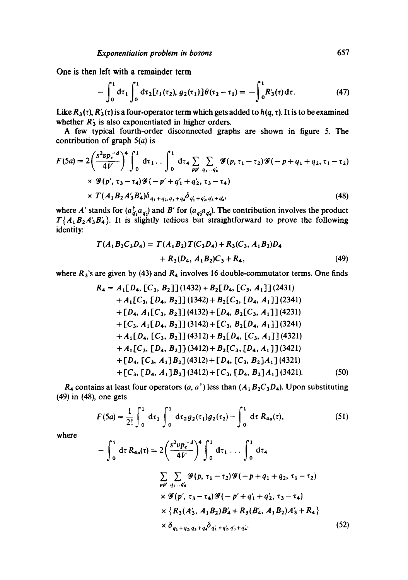One is then left with a remainder term

$$
-\int_0^1 d\tau_1 \int_0^1 d\tau_2 [t_1(\tau_2), g_2(\tau_1)] \theta(\tau_2 - \tau_1) = -\int_0^1 R'_3(\tau) d\tau.
$$
 (47)

Like  $R_3(\tau)$ ,  $R'_3(\tau)$  is a four-operator term which gets added to  $h(q, \tau)$ . It is to be examined whether  $R'_3$  is also exponentiated in higher orders.

A few typical fourth-order disconnected graphs are shown in figure 5. The contribution of graph  $5(a)$  is

$$
F(5a) = 2\left(\frac{s^2 v p_c^{-d}}{4V}\right)^4 \int_0^1 d\tau_1 \dots \int_0^1 d\tau_4 \sum_{pp'} \sum_{q_1 \dots q'_4} \mathcal{G}(p, \tau_1 - \tau_2) \mathcal{G}(-p + q_1 + q_2, \tau_1 - \tau_2) \times \mathcal{G}(p', \tau_3 - \tau_4) \mathcal{G}(-p' + q'_1 + q'_2, \tau_3 - \tau_4) \times T(A_1 B_2 A'_3 B'_4) \delta_{q_1 + q_2, q_3 + q_4} \delta_{q'_1 + q'_2, q'_3 + q'_4},
$$
\n(48)

where A' stands for  $(a_{a_1}^T, a_{a_2})$  and B' for  $(a_{a_1}^T, a_{a_2})$ . The contribution involves the product  $T{A_1B_2A'_3B'_4}$ . It is slightly tedious but straightforward to prove the following identity:

$$
T(A_1B_2C_3D_4) = T(A_1B_2)T(C_3D_4) + R_3(C_3, A_1B_2)D_4
$$
  
+ R<sub>3</sub>(D<sub>4</sub>, A<sub>1</sub>B<sub>2</sub>)C<sub>3</sub> + R<sub>4</sub>, (49)

where  $R_3$ 's are given by (43) and  $R_4$  involves 16 double-commutator terms. One finds

$$
R_4 = A_1[D_4, [C_3, B_2]](1432) + B_2[D_4, [C_3, A_1]](2431)+ A_1[C_3, [D_4, B_2]](1342) + B_2[C_3, [D_4, A_1]](2341)+ [D_4, A_1[C_3, B_2]](4132) + [D_4, B_2[C_3, A_1]](4231)+ [C_3, A_1[D_4, B_2]](3142) + [C_3, B_2[D_4, A_1]](3241)+ A_1[D_4, [C_3, B_2]](4312) + B_2[D_4, [C_3, A_1]](4321)+ A_1[C_3, [D_4, B_2]](3412) + B_2[C_3, [D_4, A_1]](3421)+ [D_4, [C_3, A_1]B_2](4312) + [D_4, [C_3, B_2]A_1](4321)+ [C_3, [D_4, A_1]B_2](3412) + [C_3, [D_4, B_2]A_1](3421). (50)
$$

 $R_4$  contains at least four operators  $(a, a^{\dagger})$  less than  $(A_1B_2C_3D_4)$ . Upon substituting (49) in (48), one gets

$$
F(5a) = \frac{1}{2!} \int_0^1 d\tau_1 \int_0^1 d\tau_2 g_2(\tau_1) g_2(\tau_2) - \int_0^1 d\tau R_{4a}(\tau), \qquad (51)
$$

where

$$
-\int_{0}^{1} d\tau R_{4a}(\tau) = 2\left(\frac{s^{2}v p_{c}^{-d}}{4V}\right)^{4} \int_{0}^{1} d\tau_{1} \dots \int_{0}^{1} d\tau_{4}
$$
  

$$
\sum_{pp'} \sum_{q_{1} \dots q_{4}'} \mathscr{G}(p, \tau_{1} - \tau_{2}) \mathscr{G}(-p + q_{1} + q_{2}, \tau_{1} - \tau_{2})
$$
  

$$
\times \mathscr{G}(p', \tau_{3} - \tau_{4}) \mathscr{G}(-p' + q'_{1} + q'_{2}, \tau_{3} - \tau_{4})
$$
  

$$
\times \{R_{3}(A'_{3}, A_{1}B_{2})B'_{4} + R_{3}(B'_{4}, A_{1}B_{2})A'_{3} + R_{4}\}
$$
  

$$
\times \delta_{q_{1} + q_{2}, q_{3} + q_{4}} \delta_{q'_{1} + q'_{2}, q'_{3} + q'_{4}}.
$$
 (52)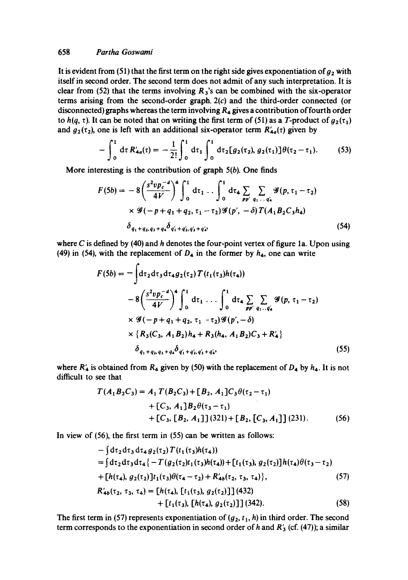## 658 *Partha Goswami*

It is evident from (51) that the first term on the right side gives exponentiation of  $g_2$  with itself in second order. The second term does not admit of any such interpretation. It is clear from (52) that the terms involving  $R_3$ 's can be combined with the six-operator terms arising from the second-order graph. 2(c) and the third-order connected (or disconnected) graphs whereas the term involving  $R_4$  gives a contribution of fourth order to  $h(q, \tau)$ . It can be noted that on writing the first term of (51) as a T-product of  $g_2(\tau_1)$ and  $g_2(\tau_2)$ , one is left with an additional six-operator term  $R'_{4a}(\tau)$  given by

$$
-\int_0^1 d\tau R'_{4a}(\tau) = -\frac{1}{2!} \int_0^1 d\tau_1 \int_0^1 d\tau_2 [g_2(\tau_2), g_2(\tau_1)] \theta(\tau_2 - \tau_1). \tag{53}
$$

More interesting is the contribution of graph  $5(b)$ . One finds

$$
F(5b) = -8\left(\frac{s^2 v p_c^{-d}}{4V}\right)^4 \int_0^1 d\tau_1 \dots \int_0^1 d\tau_4 \sum_{pp' \ q_1 \dots q'_4} \mathcal{G}(p, \tau_1 - \tau_2)
$$
  
×  $\mathcal{G}(-p + q_1 + q_2, \tau_1 - \tau_2) \mathcal{G}(p', -\delta) T(A_1 B_2 C_3 h_4)$   
 $\delta_{q_1 + q_2, q_3 + q_4} \delta_{q'_1 + q'_2, q'_3 + q'_4},$  (54)

where C is defined by (40) and  $h$  denotes the four-point vertex of figure 1a. Upon using (49) in (54), with the replacement of  $D_4$  in the former by  $h_4$ , one can write

$$
F(5b) = -\int d\tau_2 d\tau_3 d\tau_4 g_2(\tau_2) T(t_1(\tau_3)h(\tau_4))
$$
  
\n
$$
-8\left(\frac{s^2 v p_c^{-d}}{4V}\right)^4 \int_0^1 d\tau_1 \dots \int_0^1 d\tau_4 \sum_{pp'} \sum_{q_1 \dots q'_4} \mathscr{G}(p, \tau_1 - \tau_2)
$$
  
\n
$$
\times \mathscr{G}(-p + q_1 + q_2, \tau_1 - \tau_2) \mathscr{G}(p', -\delta)
$$
  
\n
$$
\times \{R_3(C_3, A_1 B_2)h_4 + R_3(h_4, A_1 B_2)C_3 + R'_4\}
$$
  
\n
$$
\delta_{q_1 + q_2, q_3 + q_4} \delta_{q'_1 + q'_2, q'_3 + q'_4}, \qquad (55)
$$

where  $R'_4$  is obtained from  $R_4$  given by (50) with the replacement of  $D_4$  by  $h_4$ . It is not difficult to see that

$$
T(A_1B_2C_3) = A_1 T(B_2C_3) + [B_2, A_1]C_3 \theta(\tau_2 - \tau_1)
$$
  
+  $[C_3, A_1]B_2 \theta(\tau_3 - \tau_1)$   
+  $[C_3, [B_2, A_1]] (321) + [B_2, [C_3, A_1]] (231).$  (56)

In view of (56), the first term in (55) can be written as follows:

$$
-\int d\tau_2 d\tau_3 d\tau_4 g_2(\tau_2) T(t_1(\tau_3)h(\tau_4))
$$
  
=  $\int d\tau_2 d\tau_3 d\tau_4 \{-T(g_2(\tau_2)t_1(\tau_3)h(\tau_4)) + [t_1(\tau_3), g_2(\tau_2)]h(\tau_4)\theta(\tau_3 - \tau_2)$   
+  $[h(\tau_4), g_2(\tau_2)]t_1(\tau_3)\theta(\tau_4 - \tau_2) + R'_{4b}(\tau_2, \tau_3, \tau_4)\},$  (57)  
 $R'_{4b}(\tau_2, \tau_3, \tau_4) = [h(\tau_4), [t_1(\tau_3), g_2(\tau_2)]]$  (432)  
+  $[t_1(\tau_3), [h(\tau_4), g_2(\tau_2)]]$  (342). (58)

The first term in (57) represents exponentiation of  $(g_2, t_1, h)$  in third order. The second term corresponds to the exponentiation in second order of h and  $R'_{3}$  (cf. (47)); a similar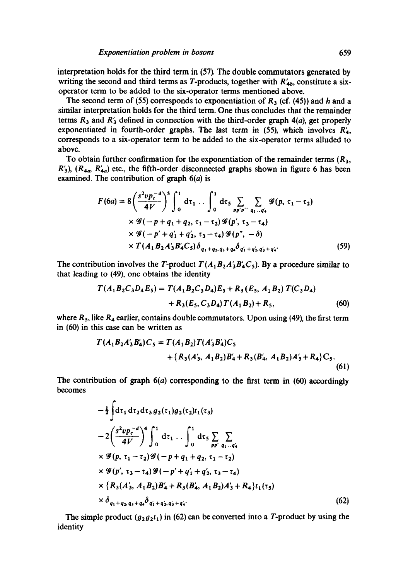interpretation holds for the third term in (57). The double commutators generated by writing the second and third terms as T-products, together with  $R'_{4b}$ , constitute a sixoperator term to be added to the six-operator terms mentioned above.

The second term of (55) corresponds to exponentiation of  $R_3$  (cf. (45)) and h and a similar interpretation holds for the third term. One thus concludes that the remainder terms  $R_3$  and  $R'_3$  defined in connection with the third-order graph 4(a), get properly exponentiated in fourth-order graphs. The last term in (55), which involves  $R'_{4}$ , corresponds to a six-operator term to be added to the six-operator terms alluded to above.

To obtain further confirmation for the exponentiation of the remainder terms  $(R_3, R_4)$  $R'_{3}$ ,  $(R_{4a}, R'_{4a})$  etc., the fifth-order disconnected graphs shown in figure 6 has been examined. The contribution of graph  $6(a)$  is

$$
F(6a) = 8\left(\frac{s^2 v p_c^{-d}}{4V}\right)^5 \int_0^1 d\tau_1 \dots \int_0^1 d\tau_5 \sum_{p p' p''} \sum_{q_1 \dots q'_4} \mathcal{G}(p, \tau_1 - \tau_2)
$$
  
×  $\mathcal{G}(-p + q_1 + q_2, \tau_1 - \tau_2) \mathcal{G}(p', \tau_3 - \tau_4)$   
×  $\mathcal{G}(-p' + q'_1 + q'_2, \tau_3 - \tau_4) \mathcal{G}(p'', -\delta)$   
×  $T(A_1 B_2 A'_3 B'_4 C_5) \delta_{q_1 + q_2, q_3 + q_4} \delta_{q'_1 + q'_2, q'_3 + q'_4}.$  (59)

The contribution involves the T-product  $T(A_1B_2A_3B_4C_5)$ . By a procedure similar to that leading to (49), one obtains the identity

$$
T(A_1B_2C_3D_4E_5) = T(A_1B_2C_3D_4)E_5 + R_3(E_5, A_1B_2) T(C_3D_4)
$$
  
+ 
$$
R_3(E_5, C_3D_4) T(A_1B_2) + R_5,
$$
 (60)

where  $R_5$ , like  $R_4$  earlier, contains double commutators. Upon using (49), the first term in (60) in this case can be written as

$$
T(A_1B_2A'_3B'_4)C_5 = T(A_1B_2)T(A'_3B'_4)C_5
$$
  
+ { $R_3(A'_3, A_1B_2)B'_4 + R_3(B'_4, A_1B_2)A'_3 + R_4$ }C\_5. (61)

The contribution of graph  $6(a)$  corresponding to the first term in  $(60)$  accordingly becomes

$$
-\frac{1}{2}\int dt_1 dt_2 dt_3 g_2(\tau_1)g_2(\tau_2)t_1(\tau_3)
$$
  
\n
$$
-2\left(\frac{s^2 v p_c^{-d}}{4V}\right)^4 \int_0^1 dt_1 \dots \int_0^1 dt_5 \sum_{pp' q_1 \dots q'_4} \times g(p, \tau_1 - \tau_2)g(-p + q_1 + q_2, \tau_1 - \tau_2)
$$
  
\n
$$
\times g(p', \tau_3 - \tau_4)g(-p' + q'_1 + q'_2, \tau_3 - \tau_4)
$$
  
\n
$$
\times \{R_3(A'_3, A_1B_2)B'_4 + R_3(B'_4, A_1B_2)A'_3 + R_4\}t_1(\tau_5)
$$
  
\n
$$
\times \delta_{q_1+q_2, q_3+q_4} \delta_{q'_1+q'_2, q'_3+q'_4}.
$$
 (62)

The simple product  $(g_2g_2t_1)$  in (62) can be converted into a T-product by using the identity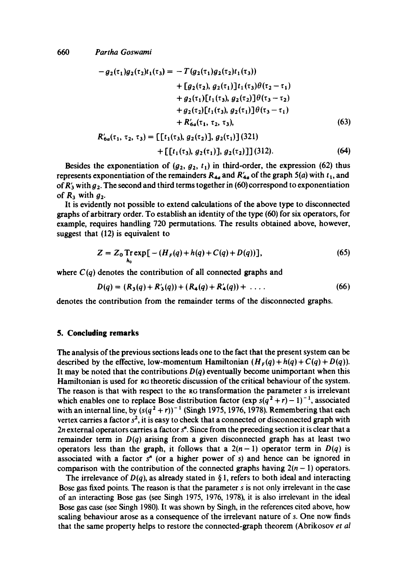$$
-g_2(\tau_1)g_2(\tau_2)t_1(\tau_3) = -T(g_2(\tau_1)g_2(\tau_2)t_1(\tau_3))
$$
  
+ 
$$
[g_2(\tau_2), g_2(\tau_1)]t_1(\tau_3)\theta(\tau_2 - \tau_1)
$$
  
+ 
$$
g_2(\tau_1)[t_1(\tau_3), g_2(\tau_2)]\theta(\tau_3 - \tau_2)
$$
  
+ 
$$
g_2(\tau_2)[t_1(\tau_3), g_2(\tau_1)]\theta(\tau_3 - \tau_1)
$$
  
+ 
$$
R'_{6a}(\tau_1, \tau_2, \tau_3),
$$
 (63)

$$
R'_{6a}(\tau_1, \tau_2, \tau_3) = [[t_1(\tau_3), g_2(\tau_2)], g_2(\tau_1)] (321)
$$
  
 
$$
+ [[t_1(\tau_3), g_2(\tau_1)], g_2(\tau_2)]] (312).
$$
 (64)

Besides the exponentiation of  $(g_2, g_2, t_1)$  in third-order, the expression (62) thus represents exponentiation of the remainders  $R_{4a}$  and  $R'_{4a}$  of the graph 5(a) with  $t_1$ , and of  $R'_{3}$  with  $g_{2}$ . The second and third terms together in (60) correspond to exponentiation of  $R_3$  with  $g_2$ .

It is evidently not possible to extend calculations of the above type to disconnected graphs of arbitrary order. To establish an identity of the type (60) for six operators, for example, requires handling 720 permutations. The results obtained above, however, suggest that (12) is equivalent to

$$
Z = Z_0 \text{Tr} \exp\left[-\left(H_r(q) + h(q) + C(q) + D(q)\right)\right],\tag{65}
$$

where  $C(q)$  denotes the contribution of all connected graphs and

$$
D(q) = (R_3(q) + R'_3(q)) + (R_4(q) + R'_4(q)) + \ldots
$$
 (66)

denotes the contribution from the remainder terms of the disconnected graphs.

### **5. Concluding remarks**

The analysis of the previous sections leads one to the fact that the present system can be described by the effective, low-momentum Hamiltonian  $(H_F(q) + h(q) + C(q) + D(q))$ . It may be noted that the contributions  $D(q)$  eventually become unimportant when this Hamiltonian is used for RG theoretic discussion of the critical behaviour of the system. The reason is that with respect to the RG transformation the parameter s is irrelevant which enables one to replace Bose distribution factor (exp  $s(q^2 + r) - 1)^{-1}$ , associated with an internal line, by  $(s(q^2 + r))^{-1}$  (Singh 1975, 1976, 1978). Remembering that each vertex carries a factor  $s^2$ , it is easy to check that a connected or disconnected graph with 2n external operators carries a factor  $s<sup>n</sup>$ . Since from the preceding section it is clear that a remainder term in  $D(q)$  arising from a given disconnected graph has at least two operators less than the graph, it follows that a  $2(n-1)$  operator term in  $D(q)$  is associated with a factor  $s<sup>n</sup>$  (or a higher power of s) and hence can be ignored in comparison with the contribution of the connected graphs having  $2(n - 1)$  operators.

The irrelevance of  $D(q)$ , as already stated in § 1, refers to both ideal and interacting Bose gas fixed points. The reason is that the parameter s is not only irrelevant in the case of an interacting Bose gas (see Singh 1975, 1976, 1978), it is also irrelevant in the ideal Bose gas case (see Singh 1980). It was shown by Singh, in the references cited above, how scaling behaviour arose as a consequence of the irrelevant nature of s. One now finds that the same property helps to restore the connected-graph theorem (Abrikosov *et al*